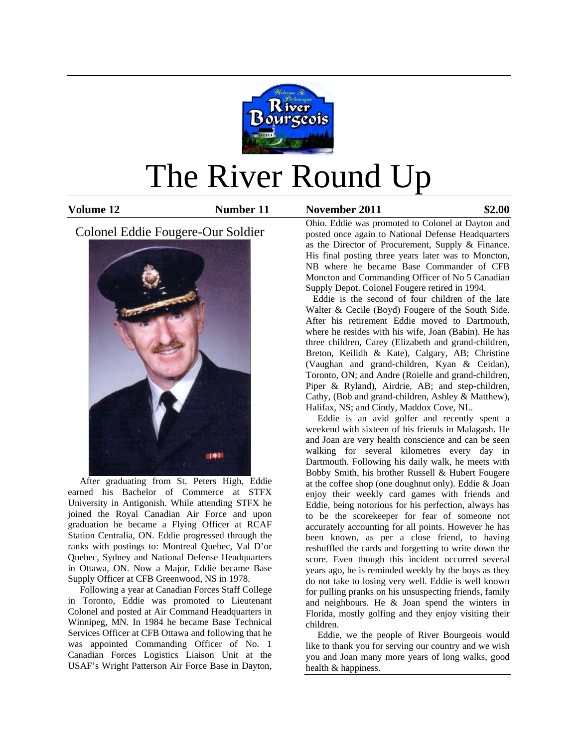

# The River Round Up

**Volume 12 Number 11 November 2011 \$2.00**

Colonel Eddie Fougere-Our Soldier



 After graduating from St. Peters High, Eddie earned his Bachelor of Commerce at STFX University in Antigonish. While attending STFX he joined the Royal Canadian Air Force and upon graduation he became a Flying Officer at RCAF Station Centralia, ON. Eddie progressed through the ranks with postings to: Montreal Quebec, Val D'or Quebec, Sydney and National Defense Headquarters in Ottawa, ON. Now a Major, Eddie became Base Supply Officer at CFB Greenwood, NS in 1978.

 Following a year at Canadian Forces Staff College in Toronto, Eddie was promoted to Lieutenant Colonel and posted at Air Command Headquarters in Winnipeg, MN. In 1984 he became Base Technical Services Officer at CFB Ottawa and following that he was appointed Commanding Officer of No. 1 Canadian Forces Logistics Liaison Unit at the USAF's Wright Patterson Air Force Base in Dayton, Ohio. Eddie was promoted to Colonel at Dayton and posted once again to National Defense Headquarters as the Director of Procurement, Supply & Finance. His final posting three years later was to Moncton, NB where he became Base Commander of CFB Moncton and Commanding Officer of No 5 Canadian Supply Depot. Colonel Fougere retired in 1994.

 Eddie is the second of four children of the late Walter & Cecile (Boyd) Fougere of the South Side. After his retirement Eddie moved to Dartmouth, where he resides with his wife, Joan (Babin). He has three children, Carey (Elizabeth and grand-children, Breton, Keilidh & Kate), Calgary, AB; Christine (Vaughan and grand-children, Kyan & Ceidan), Toronto, ON; and Andre (Roielle and grand-children, Piper & Ryland), Airdrie, AB; and step-children, Cathy, (Bob and grand-children, Ashley & Matthew), Halifax, NS; and Cindy, Maddox Cove, NL.

 Eddie is an avid golfer and recently spent a weekend with sixteen of his friends in Malagash. He and Joan are very health conscience and can be seen walking for several kilometres every day in Dartmouth. Following his daily walk, he meets with Bobby Smith, his brother Russell & Hubert Fougere at the coffee shop (one doughnut only). Eddie & Joan enjoy their weekly card games with friends and Eddie, being notorious for his perfection, always has to be the scorekeeper for fear of someone not accurately accounting for all points. However he has been known, as per a close friend, to having reshuffled the cards and forgetting to write down the score. Even though this incident occurred several years ago, he is reminded weekly by the boys as they do not take to losing very well. Eddie is well known for pulling pranks on his unsuspecting friends, family and neighbours. He & Joan spend the winters in Florida, mostly golfing and they enjoy visiting their children.

 Eddie, we the people of River Bourgeois would like to thank you for serving our country and we wish you and Joan many more years of long walks, good health & happiness.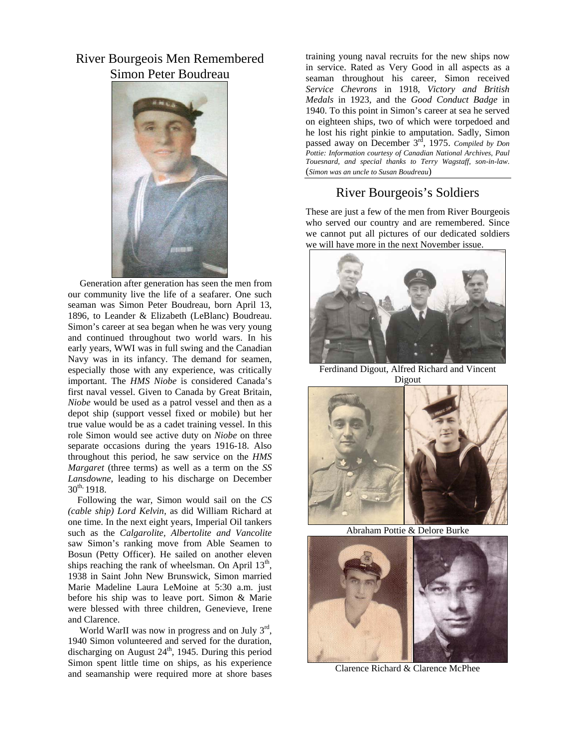## River Bourgeois Men Remembered Simon Peter Boudreau



 Generation after generation has seen the men from our community live the life of a seafarer. One such seaman was Simon Peter Boudreau, born April 13, 1896, to Leander & Elizabeth (LeBlanc) Boudreau. Simon's career at sea began when he was very young and continued throughout two world wars. In his early years, WWI was in full swing and the Canadian Navy was in its infancy. The demand for seamen, especially those with any experience, was critically important. The *HMS Niobe* is considered Canada's first naval vessel. Given to Canada by Great Britain, *Niobe* would be used as a patrol vessel and then as a depot ship (support vessel fixed or mobile) but her true value would be as a cadet training vessel. In this role Simon would see active duty on *Niobe* on three separate occasions during the years 1916-18. Also throughout this period, he saw service on the *HMS Margaret* (three terms) as well as a term on the *SS Lansdowne*, leading to his discharge on December  $30^{th}$ , 1918.

 Following the war, Simon would sail on the *CS (cable ship) Lord Kelvin*, as did William Richard at one time. In the next eight years, Imperial Oil tankers such as the *Calgarolite, Albertolite and Vancolite* saw Simon's ranking move from Able Seamen to Bosun (Petty Officer). He sailed on another eleven ships reaching the rank of wheelsman. On April  $13<sup>th</sup>$ , 1938 in Saint John New Brunswick, Simon married Marie Madeline Laura LeMoine at 5:30 a.m. just before his ship was to leave port. Simon & Marie were blessed with three children, Genevieve, Irene and Clarence.

World WarII was now in progress and on July 3<sup>rd</sup>, 1940 Simon volunteered and served for the duration, discharging on August  $24<sup>th</sup>$ , 1945. During this period Simon spent little time on ships, as his experience and seamanship were required more at shore bases

training young naval recruits for the new ships now in service. Rated as Very Good in all aspects as a seaman throughout his career, Simon received *Service Chevrons* in 1918, *Victory and British Medals* in 1923, and the *Good Conduct Badge* in 1940. To this point in Simon's career at sea he served on eighteen ships, two of which were torpedoed and he lost his right pinkie to amputation. Sadly, Simon passed away on December 3<sup>rd</sup>, 1975. *Compiled by Don Pottie: Information courtesy of Canadian National Archives, Paul Touesnard, and special thanks to Terry Wagstaff, son-in-law*. (*Simon was an uncle to Susan Boudreau*)

# River Bourgeois's Soldiers

These are just a few of the men from River Bourgeois who served our country and are remembered. Since we cannot put all pictures of our dedicated soldiers we will have more in the next November issue.



Ferdinand Digout, Alfred Richard and Vincent Digout



Abraham Pottie & Delore Burke



Clarence Richard & Clarence McPhee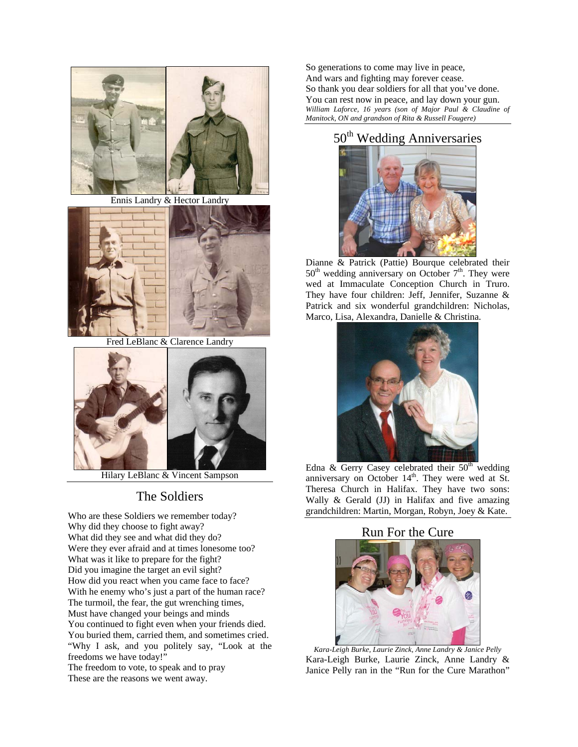

Ennis Landry & Hector Landry



Fred LeBlanc & Clarence Landry



Hilary LeBlanc & Vincent Sampson

## The Soldiers

Who are these Soldiers we remember today? Why did they choose to fight away? What did they see and what did they do? Were they ever afraid and at times lonesome too? What was it like to prepare for the fight? Did you imagine the target an evil sight? How did you react when you came face to face? With he enemy who's just a part of the human race? The turmoil, the fear, the gut wrenching times, Must have changed your beings and minds You continued to fight even when your friends died. You buried them, carried them, and sometimes cried. "Why I ask, and you politely say, "Look at the freedoms we have today!"

The freedom to vote, to speak and to pray These are the reasons we went away.

So generations to come may live in peace, And wars and fighting may forever cease. So thank you dear soldiers for all that you've done. You can rest now in peace, and lay down your gun. *William Laforce, 16 years (son of Major Paul & Claudine of Manitock, ON and grandson of Rita & Russell Fougere)* 

# 50<sup>th</sup> Wedding Anniversaries



Dianne & Patrick (Pattie) Bourque celebrated their  $50<sup>th</sup>$  wedding anniversary on October  $7<sup>th</sup>$ . They were wed at Immaculate Conception Church in Truro. They have four children: Jeff, Jennifer, Suzanne & Patrick and six wonderful grandchildren: Nicholas, Marco, Lisa, Alexandra, Danielle & Christina.



Edna  $\&$  Gerry Casey celebrated their  $50<sup>th</sup>$  wedding anniversary on October  $14<sup>th</sup>$ . They were wed at St. Theresa Church in Halifax. They have two sons: Wally & Gerald (JJ) in Halifax and five amazing grandchildren: Martin, Morgan, Robyn, Joey & Kate.

#### Run For the Cure



*Kara-Leigh Burke, Laurie Zinck, Anne Landry & Janice Pelly*  Kara-Leigh Burke, Laurie Zinck, Anne Landry & Janice Pelly ran in the "Run for the Cure Marathon"